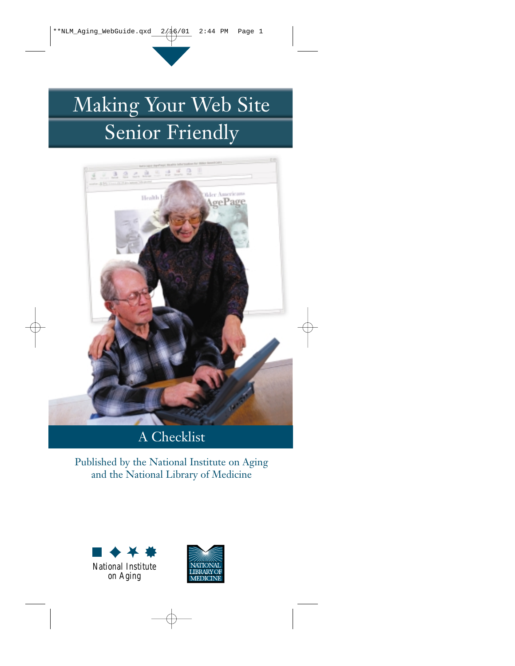# Making Your Web Site Senior Friendly



# A Checklist

Published by the National Institute on Aging and the National Library of Medicine



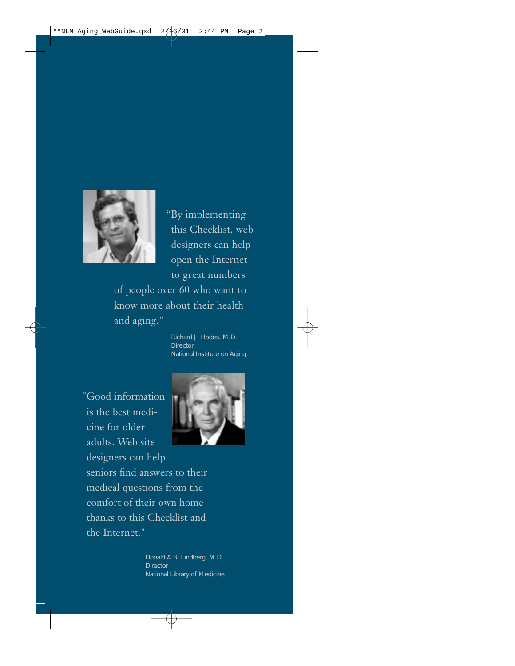

"By implementing this Checklist, web designers can help open the Internet to great numbers of people over 60 who want to know more about their health and aging."

> Richard J. Hodes, M.D. **Director** National Institute on Aging

"Good information is the best medicine for older adults. Web site designers can help seniors find answers to their medical questions from the comfort of their own home thanks to this Checklist and the Internet."



Donald A.B. Lindberg, M.D. **Director** National Library of Medicine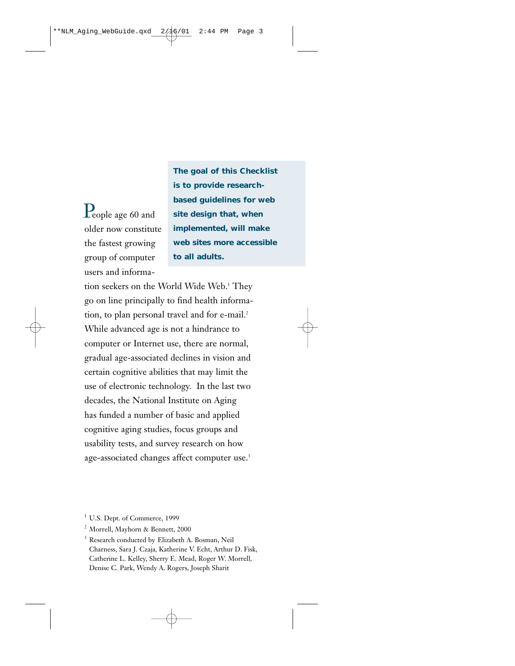$\mathop{\mathrm{P}}\nolimits_{\mathrm{e}}$ ople age 60 and older now constitute the fastest growing group of computer users and informa**The goal of this Checklist is to provide researchbased guidelines for web site design that, when implemented, will make web sites more accessible to all adults.**

tion seekers on the World Wide Web.<sup>1</sup> They go on line principally to find health information, to plan personal travel and for e-mail.<sup>2</sup> While advanced age is not a hindrance to computer or Internet use, there are normal, gradual age-associated declines in vision and certain cognitive abilities that may limit the use of electronic technology. In the last two decades, the National Institute on Aging has funded a number of basic and applied cognitive aging studies, focus groups and usability tests, and survey research on how age-associated changes affect computer use.<sup>3</sup>

<sup>1</sup> U.S. Dept. of Commerce, 1999

2 Morrell, Mayhorn & Bennett, 2000

<sup>3</sup> Research conducted by Elizabeth A. Bosman, Neil Charness, Sara J. Czaja, Katherine V. Echt, Arthur D. Fisk, Catherine L. Kelley, Sherry E. Mead, Roger W. Morrell, Denise C. Park, Wendy A. Rogers, Joseph Sharit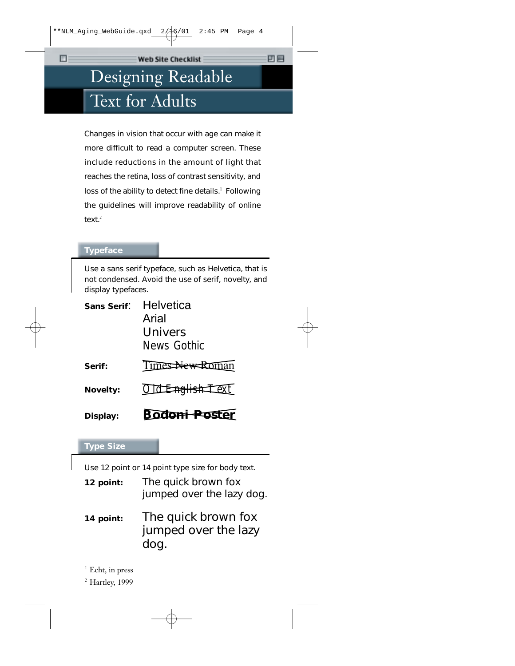# Designing Readable Text for Adults

Changes in vision that occur with age can make it more difficult to read a computer screen. These include reductions in the amount of light that reaches the retina, loss of contrast sensitivity, and loss of the ability to detect fine details. $<sup>1</sup>$  Following</sup> the guidelines will improve readability of online text. $2$ 

#### **Typeface**

Use a sans serif typeface, such as Helvetica, that is not condensed. Avoid the use of serif, novelty, and display typefaces.

| Display:        | <b>Bodoni Poster</b> |
|-----------------|----------------------|
| <b>Novelty:</b> | Old English-Text     |
| Serif:          | Times New Roman      |
|                 | News Gothic          |
|                 | Univers              |
|                 | Arial                |
| Sans Serif.     | Helvetica            |

#### **Type Size**

Use 12 point or 14 point type size for body text.

| 12 point: | The quick brown fox<br>jumped over the lazy dog.    |
|-----------|-----------------------------------------------------|
| 14 point: | The quick brown fox<br>jumped over the lazy<br>dog. |

<sup>1</sup> Echt, in press

2 Hartley, 1999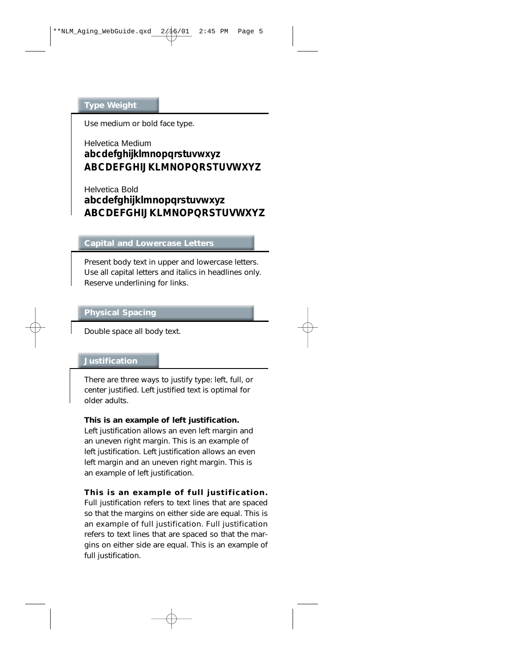### **Type Weight**

Use medium or bold face type.

# Helvetica Medium **abcdefghijklmnopqrstuvwxyz ABCDEFGHIJKLMNOPQRSTUVWXYZ**

Helvetica Bold **abcdefghijklmnopqrstuvwxyz ABCDEFGHIJKLMNOPQRSTUVWXYZ**

### **Capital and Lowercase Letters**

Present body text in upper and lowercase letters. Use all capital letters and italics in headlines only. Reserve underlining for links.

### **Physical Spacing**

Double space all body text.

#### **Justification**

There are three ways to justify type: left, full, or center justified. Left justified text is optimal for older adults.

#### **This is an example of left justification.**

Left justification allows an even left margin and an uneven right margin. This is an example of left justification. Left justification allows an even left margin and an uneven right margin. This is an example of left justification.

#### **This is an example of full justification.**

Full justification refers to text lines that are spaced so that the margins on either side are equal. This is an example of full justification. Full justification refers to text lines that are spaced so that the margins on either side are equal. This is an example of full justification.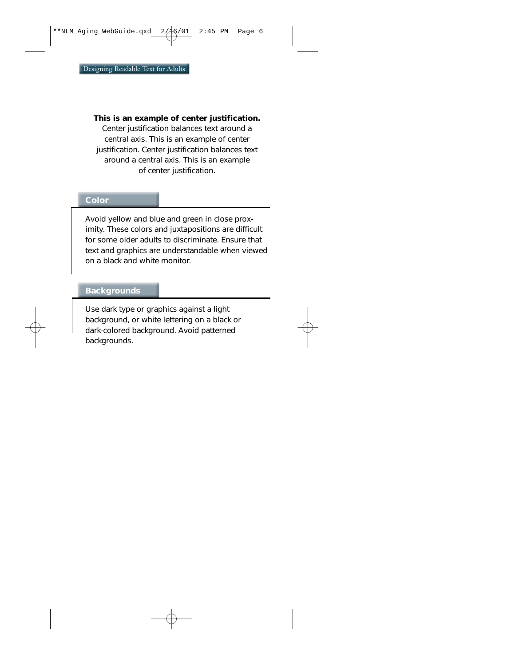#### **This is an example of center justification.**

Center justification balances text around a central axis. This is an example of center justification. Center justification balances text around a central axis. This is an example of center justification.

#### **Color**

Avoid yellow and blue and green in close proximity. These colors and juxtapositions are difficult for some older adults to discriminate. Ensure that text and graphics are understandable when viewed on a black and white monitor.

#### **Backgrounds**

Use dark type or graphics against a light background, or white lettering on a black or dark-colored background. Avoid patterned backgrounds.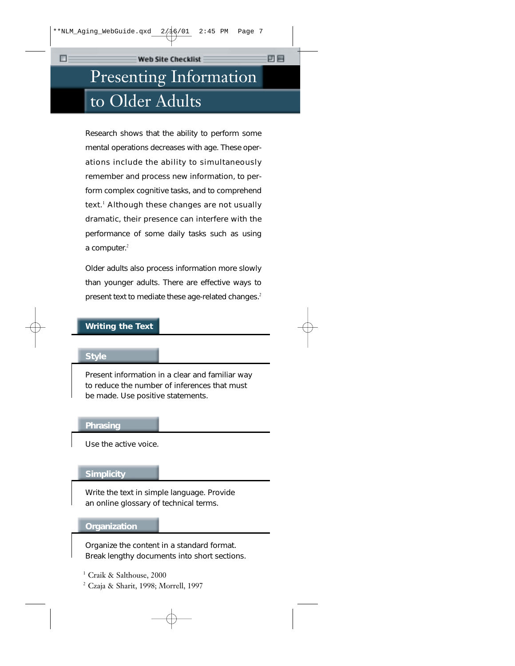# Presenting Information to Older Adults

Research shows that the ability to perform some mental operations decreases with age. These operations include the ability to simultaneously remember and process new information, to perform complex cognitive tasks, and to comprehend text. $<sup>1</sup>$  Although these changes are not usually</sup> dramatic, their presence can interfere with the performance of some daily tasks such as using a computer. $2$ 

Older adults also process information more slowly than younger adults. There are effective ways to present text to mediate these age-related changes.<sup>2</sup>

# **Writing the Text**

#### **Style**

т

Present information in a clear and familiar way to reduce the number of inferences that must be made. Use positive statements.

#### **Phrasing**

Use the active voice.

#### **Simplicity**

Write the text in simple language. Provide an online glossary of technical terms.

#### **Organization**

Organize the content in a standard format. Break lengthy documents into short sections.

<sup>1</sup> Craik & Salthouse, 2000

2 Czaja & Sharit, 1998; Morrell, 1997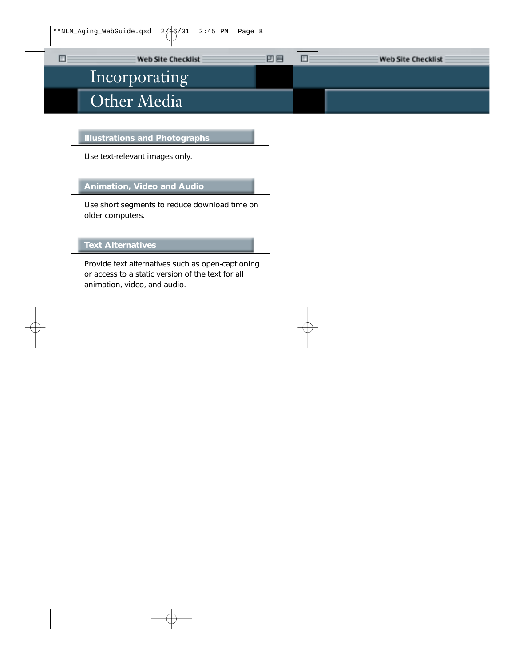# Incorporating Other Media

 $\Box$ 

#### **Illustrations and Photographs**

Use text-relevant images only.

### **Animation, Video and Audio**

Use short segments to reduce download time on older computers.

# **Text Alternatives**

Provide text alternatives such as open-captioning or access to a static version of the text for all animation, video, and audio.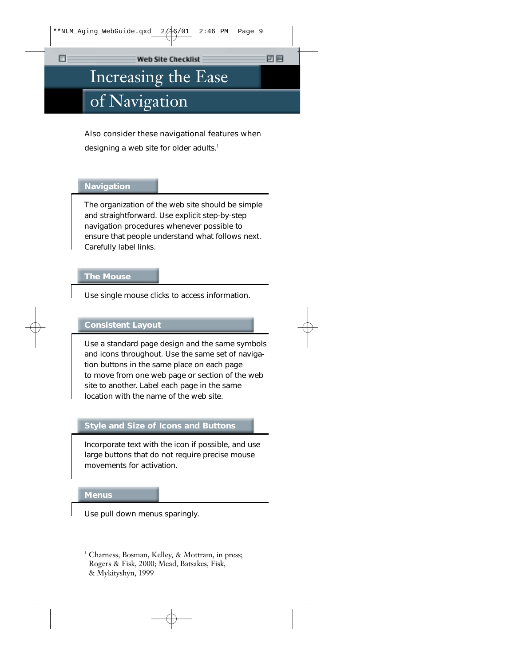四目

# Increasing the Ease

# of Navigation

Also consider these navigational features when designing a web site for older adults.<sup>1</sup>

### **Navigation**

т

The organization of the web site should be simple and straightforward. Use explicit step-by-step navigation procedures whenever possible to ensure that people understand what follows next. Carefully label links.

#### **The Mouse**

Use single mouse clicks to access information.

### **Consistent Layout**

Use a standard page design and the same symbols and icons throughout. Use the same set of navigation buttons in the same place on each page to move from one web page or section of the web site to another. Label each page in the same location with the name of the web site.

# **Style and Size of Icons and Buttons**

Incorporate text with the icon if possible, and use large buttons that do not require precise mouse movements for activation.

#### **Menus**

Use pull down menus sparingly.

<sup>1</sup> Charness, Bosman, Kelley, & Mottram, in press; Rogers & Fisk, 2000; Mead, Batsakes, Fisk, & Mykityshyn, 1999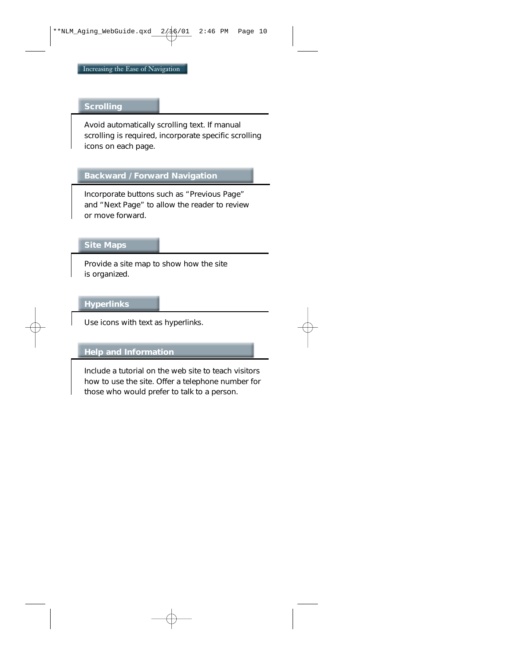#### **Scrolling**

Avoid automatically scrolling text. If manual scrolling is required, incorporate specific scrolling icons on each page.

## **Backward / Forward Navigation**

Incorporate buttons such as "Previous Page" and "Next Page" to allow the reader to review or move forward.

#### **Site Maps**

Provide a site map to show how the site is organized.

### **Hyperlinks**

Use icons with text as hyperlinks.

# **Help and Information**

Include a tutorial on the web site to teach visitors how to use the site. Offer a telephone number for those who would prefer to talk to a person.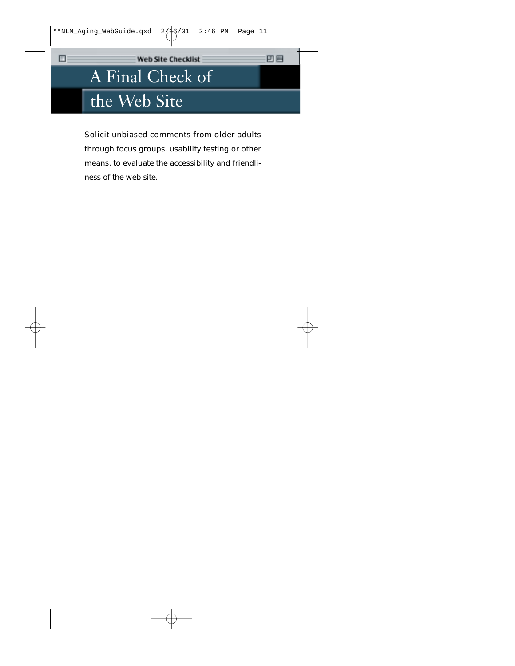凹目

# A Final Check of the Web Site

四

Solicit unbiased comments from older adults through focus groups, usability testing or other means, to evaluate the accessibility and friendliness of the web site.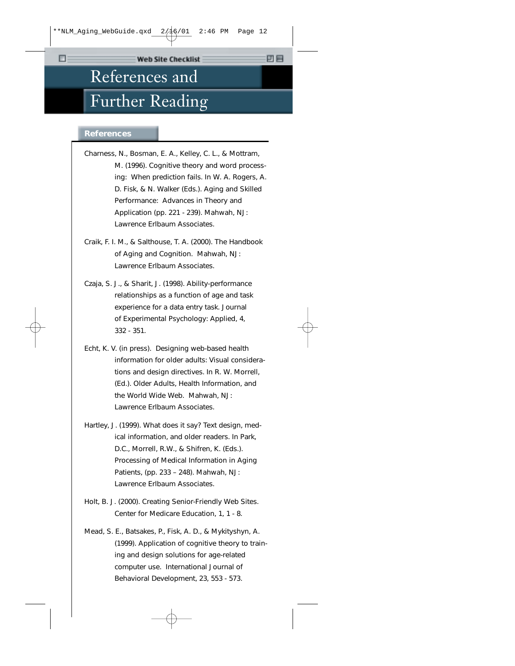# References and Further Reading

#### **References**

- Charness, N., Bosman, E. A., Kelley, C. L., & Mottram, M. (1996). Cognitive theory and word processing: When prediction fails. In W. A. Rogers, A. D. Fisk, & N. Walker (Eds.). *Aging and Skilled Performance: Advances in Theory and Application* (pp. 221 - 239). Mahwah, NJ: Lawrence Erlbaum Associates.
- Craik, F. I. M., & Salthouse, T. A. (2000). *The Handbook of Aging and Cognition.* Mahwah, NJ: Lawrence Erlbaum Associates.
- Czaja, S. J., & Sharit, J. (1998). Ability-performance relationships as a function of age and task experience for a data entry task. *Journal of Experimental Psychology: Applied, 4,* 332 - 351.
- Echt, K. V. (in press). Designing web-based health information for older adults: Visual considerations and design directives. In R. W. Morrell, (Ed.). *Older Adults, Health Information, and the World Wide Web.* Mahwah, NJ: Lawrence Erlbaum Associates.
- Hartley, J. (1999). What does it say? Text design, medical information, and older readers. In Park, D.C., Morrell, R.W., & Shifren, K. (Eds.). *Processing of Medical Information in Aging Patients,* (pp. 233 – 248). Mahwah, NJ: Lawrence Erlbaum Associates.
- Holt, B. J. (2000). Creating Senior-Friendly Web Sites. *Center for Medicare Education, 1,* 1 - 8.
- Mead, S. E., Batsakes, P., Fisk, A. D., & Mykityshyn, A. (1999). Application of cognitive theory to training and design solutions for age-related computer use. *International Journal of Behavioral Development, 23,* 553 - 573.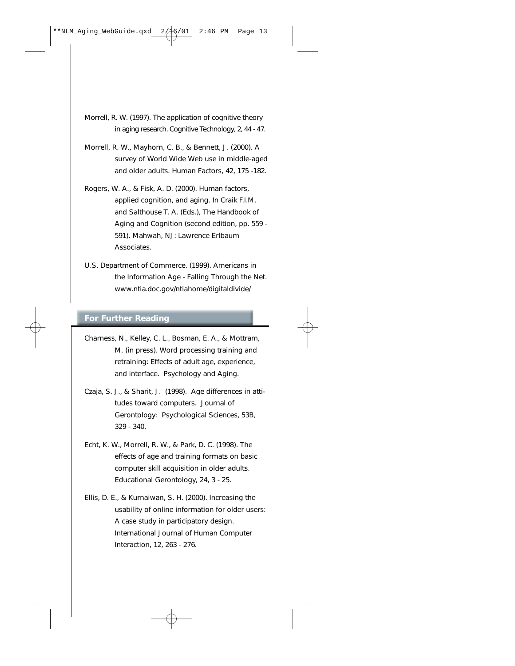- Morrell, R. W. (1997). The application of cognitive theory in aging research. *Cognitive Technology, 2,* 44 - 47.
- Morrell, R. W., Mayhorn, C. B., & Bennett, J. (2000). A survey of World Wide Web use in middle-aged and older adults. *Human Factors,* 42, 175 -182.
- Rogers, W. A., & Fisk, A. D. (2000). Human factors, applied cognition, and aging. In Craik F.I.M. and Salthouse T. A. (Eds.), *The Handbook of Aging and Cognition* (second edition, pp. 559 - 591). Mahwah, NJ: Lawrence Erlbaum Associates.
- U.S. Department of Commerce. (1999). *Americans in the Information Age - Falling Through the Net.* www.ntia.doc.gov/ntiahome/digitaldivide/

#### **For Further Reading**

- Charness, N., Kelley, C. L., Bosman, E. A., & Mottram, M. (in press). Word processing training and retraining: Effects of adult age, experience, and interface. *Psychology and Aging.*
- Czaja, S. J., & Sharit, J. (1998). Age differences in attitudes toward computers. *Journal of Gerontology: Psychological Sciences, 53B,* 329 - 340.
- Echt, K. W., Morrell, R. W., & Park, D. C. (1998). The effects of age and training formats on basic computer skill acquisition in older adults. *Educational Gerontology, 24,* 3 - 25.
- Ellis, D. E., & Kurnaiwan, S. H. (2000). Increasing the usability of online information for older users: A case study in participatory design. *International Journal of Human Computer Interaction, 12,* 263 - 276.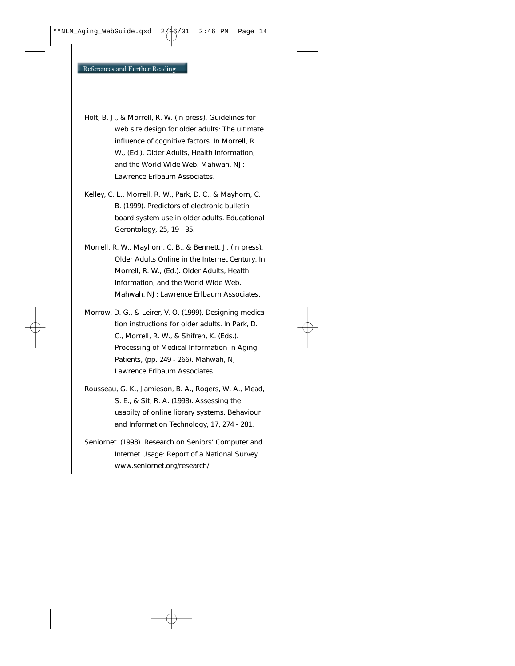- Holt, B. J., & Morrell, R. W. (in press). Guidelines for web site design for older adults: The ultimate influence of cognitive factors. In Morrell, R. W., (Ed.). *Older Adults, Health Information, and the World Wide Web.* Mahwah, NJ: Lawrence Erlbaum Associates.
- Kelley, C. L., Morrell, R. W., Park, D. C., & Mayhorn, C. B. (1999). Predictors of electronic bulletin board system use in older adults. *Educational Gerontology, 25,* 19 - 35.
- Morrell, R. W., Mayhorn, C. B., & Bennett, J. (in press). Older Adults Online in the Internet Century. In Morrell, R. W., (Ed.). *Older Adults, Health Information, and the World Wide Web.* Mahwah, NJ: Lawrence Erlbaum Associates.
- Morrow, D. G., & Leirer, V. O. (1999). Designing medication instructions for older adults. In Park, D. C., Morrell, R. W., & Shifren, K. (Eds.). *Processing of Medical Information in Aging Patients,* (pp. 249 - 266). Mahwah, NJ: Lawrence Erlbaum Associates.
- Rousseau, G. K., Jamieson, B. A., Rogers, W. A., Mead, S. E., & Sit, R. A. (1998). Assessing the usabilty of online library systems. *Behaviour and Information Technology, 17,* 274 - 281.
- Seniornet. (1998). *Research on Seniors' Computer and Internet Usage: Report of a National Survey.* www.seniornet.org/research/